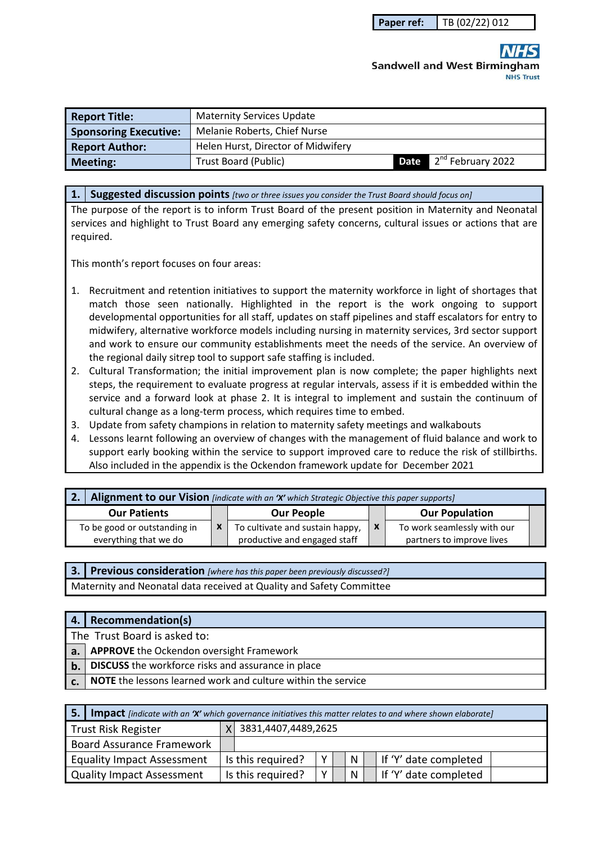# **Sandwell and West Birmingham NHS Trust**

| <b>Report Title:</b>         | <b>Maternity Services Update</b>   |                                    |
|------------------------------|------------------------------------|------------------------------------|
| <b>Sponsoring Executive:</b> | Melanie Roberts, Chief Nurse       |                                    |
| <b>Report Author:</b>        | Helen Hurst, Director of Midwifery |                                    |
| <b>Meeting:</b>              | Trust Board (Public)               | Date 2 <sup>nd</sup> February 2022 |

#### **1. Suggested discussion points** *[two or three issues you consider the Trust Board should focus on]*

The purpose of the report is to inform Trust Board of the present position in Maternity and Neonatal services and highlight to Trust Board any emerging safety concerns, cultural issues or actions that are required.

This month's report focuses on four areas:

- 1. Recruitment and retention initiatives to support the maternity workforce in light of shortages that match those seen nationally. Highlighted in the report is the work ongoing to support developmental opportunities for all staff, updates on staff pipelines and staff escalators for entry to midwifery, alternative workforce models including nursing in maternity services, 3rd sector support and work to ensure our community establishments meet the needs of the service. An overview of the regional daily sitrep tool to support safe staffing is included.
- 2. Cultural Transformation; the initial improvement plan is now complete; the paper highlights next steps, the requirement to evaluate progress at regular intervals, assess if it is embedded within the service and a forward look at phase 2. It is integral to implement and sustain the continuum of cultural change as a long-term process, which requires time to embed.
- 3. Update from safety champions in relation to maternity safety meetings and walkabouts
- 4. Lessons learnt following an overview of changes with the management of fluid balance and work to support early booking within the service to support improved care to reduce the risk of stillbirths. Also included in the appendix is the Ockendon framework update for December 2021

| <b>2.</b> Alignment to our Vision [indicate with an 'X' which Strategic Objective this paper supports] |  |                                 |  |                             |  |  |
|--------------------------------------------------------------------------------------------------------|--|---------------------------------|--|-----------------------------|--|--|
| <b>Our Patients</b>                                                                                    |  | <b>Our People</b>               |  | <b>Our Population</b>       |  |  |
| To be good or outstanding in                                                                           |  | To cultivate and sustain happy, |  | To work seamlessly with our |  |  |
| everything that we do                                                                                  |  | productive and engaged staff    |  | partners to improve lives   |  |  |

**3. Previous consideration** *[where has this paper been previously discussed?]* Maternity and Neonatal data received at Quality and Safety Committee

| 4.  | <b>Recommendation(s)</b>                                            |  |  |  |  |  |
|-----|---------------------------------------------------------------------|--|--|--|--|--|
|     | The Trust Board is asked to:                                        |  |  |  |  |  |
| a.  | <b>APPROVE</b> the Ockendon oversight Framework                     |  |  |  |  |  |
| $b$ | <b>DISCUSS</b> the workforce risks and assurance in place           |  |  |  |  |  |
|     | <b>NOTE</b> the lessons learned work and culture within the service |  |  |  |  |  |

| <b>5.</b> Impact [indicate with an 'X' which governance initiatives this matter relates to and where shown elaborate] |  |                       |   |  |              |                       |
|-----------------------------------------------------------------------------------------------------------------------|--|-----------------------|---|--|--------------|-----------------------|
| Trust Risk Register                                                                                                   |  | X 3831,4407,4489,2625 |   |  |              |                       |
| Board Assurance Framework                                                                                             |  |                       |   |  |              |                       |
| <b>Equality Impact Assessment</b>                                                                                     |  | Is this required?     | Y |  | <b>N</b>     | If 'Y' date completed |
| Quality Impact Assessment                                                                                             |  | Is this required?     | v |  | <sup>N</sup> | If 'Y' date completed |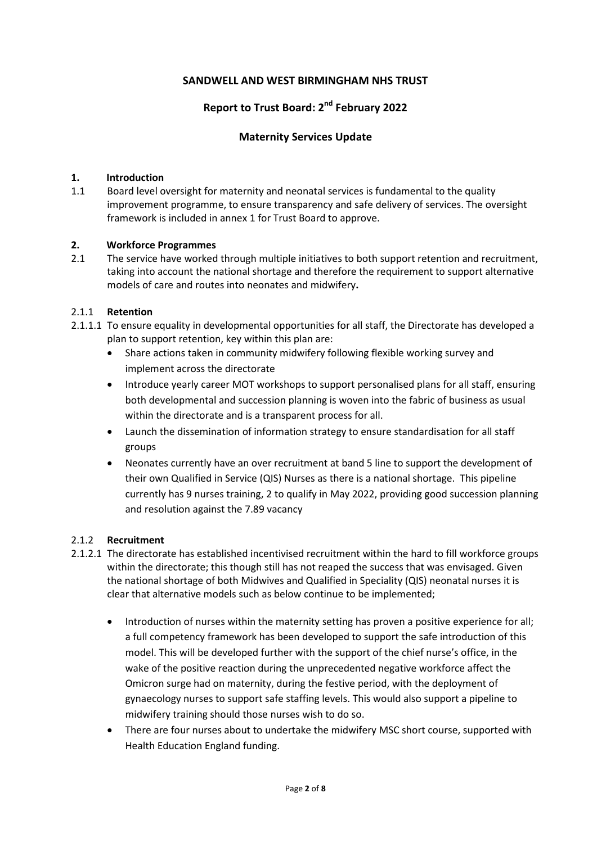## **SANDWELL AND WEST BIRMINGHAM NHS TRUST**

## **Report to Trust Board: 2nd February 2022**

#### **Maternity Services Update**

#### **1. Introduction**

1.1 Board level oversight for maternity and neonatal services is fundamental to the quality improvement programme, to ensure transparency and safe delivery of services. The oversight framework is included in annex 1 for Trust Board to approve.

#### **2. Workforce Programmes**

2.1 The service have worked through multiple initiatives to both support retention and recruitment, taking into account the national shortage and therefore the requirement to support alternative models of care and routes into neonates and midwifery**.** 

#### 2.1.1 **Retention**

- 2.1.1.1 To ensure equality in developmental opportunities for all staff, the Directorate has developed a plan to support retention, key within this plan are:
	- Share actions taken in community midwifery following flexible working survey and implement across the directorate
	- Introduce yearly career MOT workshops to support personalised plans for all staff, ensuring both developmental and succession planning is woven into the fabric of business as usual within the directorate and is a transparent process for all.
	- Launch the dissemination of information strategy to ensure standardisation for all staff groups
	- Neonates currently have an over recruitment at band 5 line to support the development of their own Qualified in Service (QIS) Nurses as there is a national shortage. This pipeline currently has 9 nurses training, 2 to qualify in May 2022, providing good succession planning and resolution against the 7.89 vacancy

#### 2.1.2 **Recruitment**

- 2.1.2.1 The directorate has established incentivised recruitment within the hard to fill workforce groups within the directorate; this though still has not reaped the success that was envisaged. Given the national shortage of both Midwives and Qualified in Speciality (QIS) neonatal nurses it is clear that alternative models such as below continue to be implemented;
	- Introduction of nurses within the maternity setting has proven a positive experience for all; a full competency framework has been developed to support the safe introduction of this model. This will be developed further with the support of the chief nurse's office, in the wake of the positive reaction during the unprecedented negative workforce affect the Omicron surge had on maternity, during the festive period, with the deployment of gynaecology nurses to support safe staffing levels. This would also support a pipeline to midwifery training should those nurses wish to do so.
	- There are four nurses about to undertake the midwifery MSC short course, supported with Health Education England funding.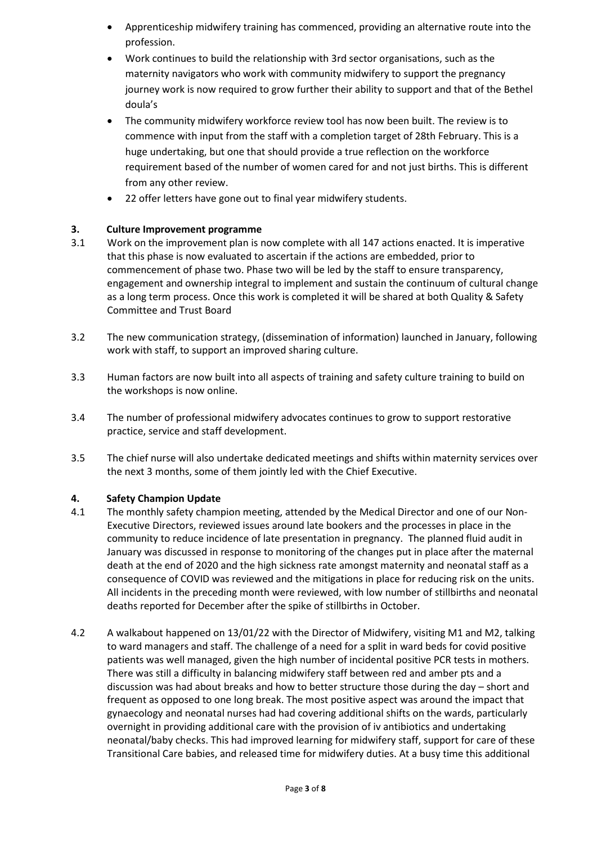- Apprenticeship midwifery training has commenced, providing an alternative route into the profession.
- Work continues to build the relationship with 3rd sector organisations, such as the maternity navigators who work with community midwifery to support the pregnancy journey work is now required to grow further their ability to support and that of the Bethel doula's
- The community midwifery workforce review tool has now been built. The review is to commence with input from the staff with a completion target of 28th February. This is a huge undertaking, but one that should provide a true reflection on the workforce requirement based of the number of women cared for and not just births. This is different from any other review.
- 22 offer letters have gone out to final year midwifery students.

## **3. Culture Improvement programme**

- 3.1 Work on the improvement plan is now complete with all 147 actions enacted. It is imperative that this phase is now evaluated to ascertain if the actions are embedded, prior to commencement of phase two. Phase two will be led by the staff to ensure transparency, engagement and ownership integral to implement and sustain the continuum of cultural change as a long term process. Once this work is completed it will be shared at both Quality & Safety Committee and Trust Board
- 3.2 The new communication strategy, (dissemination of information) launched in January, following work with staff, to support an improved sharing culture.
- 3.3 Human factors are now built into all aspects of training and safety culture training to build on the workshops is now online.
- 3.4 The number of professional midwifery advocates continues to grow to support restorative practice, service and staff development.
- 3.5 The chief nurse will also undertake dedicated meetings and shifts within maternity services over the next 3 months, some of them jointly led with the Chief Executive.

#### **4. Safety Champion Update**

- 4.1 The monthly safety champion meeting, attended by the Medical Director and one of our Non-Executive Directors, reviewed issues around late bookers and the processes in place in the community to reduce incidence of late presentation in pregnancy. The planned fluid audit in January was discussed in response to monitoring of the changes put in place after the maternal death at the end of 2020 and the high sickness rate amongst maternity and neonatal staff as a consequence of COVID was reviewed and the mitigations in place for reducing risk on the units. All incidents in the preceding month were reviewed, with low number of stillbirths and neonatal deaths reported for December after the spike of stillbirths in October.
- 4.2 A walkabout happened on 13/01/22 with the Director of Midwifery, visiting M1 and M2, talking to ward managers and staff. The challenge of a need for a split in ward beds for covid positive patients was well managed, given the high number of incidental positive PCR tests in mothers. There was still a difficulty in balancing midwifery staff between red and amber pts and a discussion was had about breaks and how to better structure those during the day – short and frequent as opposed to one long break. The most positive aspect was around the impact that gynaecology and neonatal nurses had had covering additional shifts on the wards, particularly overnight in providing additional care with the provision of iv antibiotics and undertaking neonatal/baby checks. This had improved learning for midwifery staff, support for care of these Transitional Care babies, and released time for midwifery duties. At a busy time this additional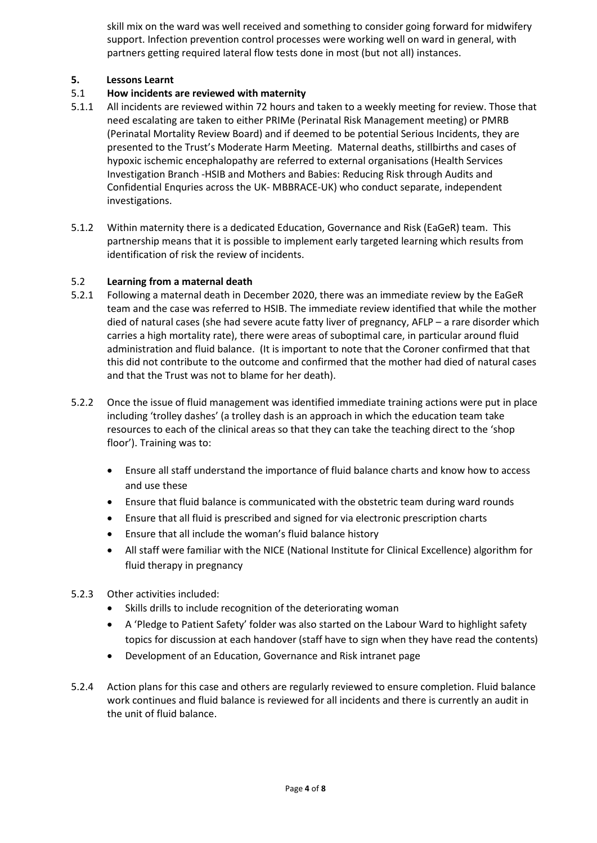skill mix on the ward was well received and something to consider going forward for midwifery support. Infection prevention control processes were working well on ward in general, with partners getting required lateral flow tests done in most (but not all) instances.

### **5. Lessons Learnt**

## 5.1 **How incidents are reviewed with maternity**

- 5.1.1 All incidents are reviewed within 72 hours and taken to a weekly meeting for review. Those that need escalating are taken to either PRIMe (Perinatal Risk Management meeting) or PMRB (Perinatal Mortality Review Board) and if deemed to be potential Serious Incidents, they are presented to the Trust's Moderate Harm Meeting. Maternal deaths, stillbirths and cases of hypoxic ischemic encephalopathy are referred to external organisations (Health Services Investigation Branch -HSIB and Mothers and Babies: Reducing Risk through Audits and Confidential Enquries across the UK- MBBRACE-UK) who conduct separate, independent investigations.
- 5.1.2 Within maternity there is a dedicated Education, Governance and Risk (EaGeR) team. This partnership means that it is possible to implement early targeted learning which results from identification of risk the review of incidents.

## 5.2 **Learning from a maternal death**

- 5.2.1 Following a maternal death in December 2020, there was an immediate review by the EaGeR team and the case was referred to HSIB. The immediate review identified that while the mother died of natural cases (she had severe acute fatty liver of pregnancy, AFLP – a rare disorder which carries a high mortality rate), there were areas of suboptimal care, in particular around fluid administration and fluid balance. (It is important to note that the Coroner confirmed that that this did not contribute to the outcome and confirmed that the mother had died of natural cases and that the Trust was not to blame for her death).
- 5.2.2 Once the issue of fluid management was identified immediate training actions were put in place including 'trolley dashes' (a trolley dash is an approach in which the education team take resources to each of the clinical areas so that they can take the teaching direct to the 'shop floor'). Training was to:
	- Ensure all staff understand the importance of fluid balance charts and know how to access and use these
	- Ensure that fluid balance is communicated with the obstetric team during ward rounds
	- Ensure that all fluid is prescribed and signed for via electronic prescription charts
	- Ensure that all include the woman's fluid balance history
	- All staff were familiar with the NICE (National Institute for Clinical Excellence) algorithm for fluid therapy in pregnancy
- 5.2.3 Other activities included:
	- Skills drills to include recognition of the deteriorating woman
	- A 'Pledge to Patient Safety' folder was also started on the Labour Ward to highlight safety topics for discussion at each handover (staff have to sign when they have read the contents)
	- Development of an Education, Governance and Risk intranet page
- 5.2.4 Action plans for this case and others are regularly reviewed to ensure completion. Fluid balance work continues and fluid balance is reviewed for all incidents and there is currently an audit in the unit of fluid balance.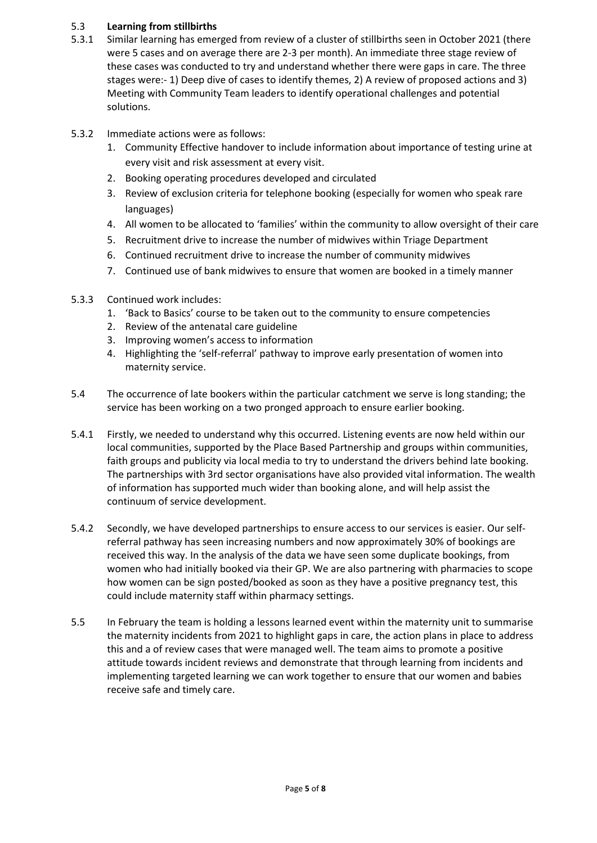#### 5.3 **Learning from stillbirths**

- 5.3.1 Similar learning has emerged from review of a cluster of stillbirths seen in October 2021 (there were 5 cases and on average there are 2-3 per month). An immediate three stage review of these cases was conducted to try and understand whether there were gaps in care. The three stages were:- 1) Deep dive of cases to identify themes, 2) A review of proposed actions and 3) Meeting with Community Team leaders to identify operational challenges and potential solutions.
- 5.3.2 Immediate actions were as follows:
	- 1. Community Effective handover to include information about importance of testing urine at every visit and risk assessment at every visit.
	- 2. Booking operating procedures developed and circulated
	- 3. Review of exclusion criteria for telephone booking (especially for women who speak rare languages)
	- 4. All women to be allocated to 'families' within the community to allow oversight of their care
	- 5. Recruitment drive to increase the number of midwives within Triage Department
	- 6. Continued recruitment drive to increase the number of community midwives
	- 7. Continued use of bank midwives to ensure that women are booked in a timely manner
- 5.3.3 Continued work includes:
	- 1. 'Back to Basics' course to be taken out to the community to ensure competencies
	- 2. Review of the antenatal care guideline
	- 3. Improving women's access to information
	- 4. Highlighting the 'self-referral' pathway to improve early presentation of women into maternity service.
- 5.4 The occurrence of late bookers within the particular catchment we serve is long standing; the service has been working on a two pronged approach to ensure earlier booking.
- 5.4.1 Firstly, we needed to understand why this occurred. Listening events are now held within our local communities, supported by the Place Based Partnership and groups within communities, faith groups and publicity via local media to try to understand the drivers behind late booking. The partnerships with 3rd sector organisations have also provided vital information. The wealth of information has supported much wider than booking alone, and will help assist the continuum of service development.
- 5.4.2 Secondly, we have developed partnerships to ensure access to our services is easier. Our selfreferral pathway has seen increasing numbers and now approximately 30% of bookings are received this way. In the analysis of the data we have seen some duplicate bookings, from women who had initially booked via their GP. We are also partnering with pharmacies to scope how women can be sign posted/booked as soon as they have a positive pregnancy test, this could include maternity staff within pharmacy settings.
- 5.5 In February the team is holding a lessons learned event within the maternity unit to summarise the maternity incidents from 2021 to highlight gaps in care, the action plans in place to address this and a of review cases that were managed well. The team aims to promote a positive attitude towards incident reviews and demonstrate that through learning from incidents and implementing targeted learning we can work together to ensure that our women and babies receive safe and timely care.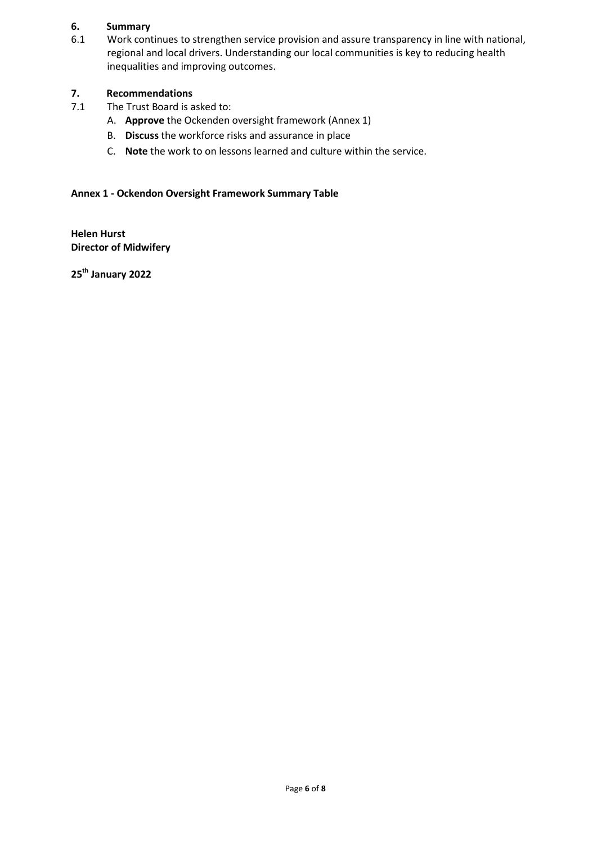#### **6. Summary**

6.1 Work continues to strengthen service provision and assure transparency in line with national, regional and local drivers. Understanding our local communities is key to reducing health inequalities and improving outcomes.

## **7. Recommendations**

- 7.1 The Trust Board is asked to:
	- A. **Approve** the Ockenden oversight framework (Annex 1)
	- B. **Discuss** the workforce risks and assurance in place
	- C. **Note** the work to on lessons learned and culture within the service.

### **Annex 1 - Ockendon Oversight Framework Summary Table**

**Helen Hurst Director of Midwifery** 

**25th January 2022**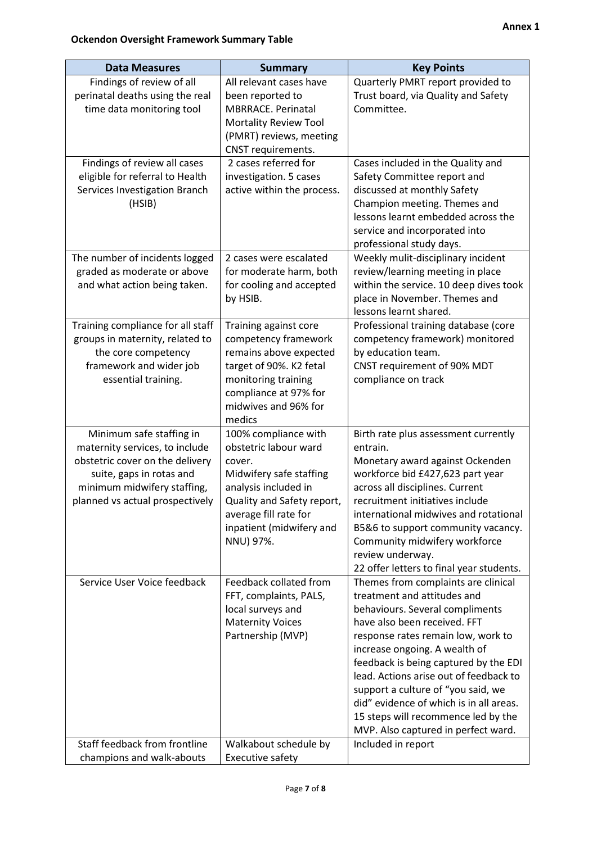| <b>Data Measures</b><br><b>Summary</b>                                                                                                                                                      |                                                                                                                                                                                                            | <b>Key Points</b>                                                                                                                                                                                                                                                                                                                                                                                                                                              |  |  |  |
|---------------------------------------------------------------------------------------------------------------------------------------------------------------------------------------------|------------------------------------------------------------------------------------------------------------------------------------------------------------------------------------------------------------|----------------------------------------------------------------------------------------------------------------------------------------------------------------------------------------------------------------------------------------------------------------------------------------------------------------------------------------------------------------------------------------------------------------------------------------------------------------|--|--|--|
| Findings of review of all<br>perinatal deaths using the real<br>time data monitoring tool                                                                                                   | All relevant cases have<br>been reported to<br><b>MBRRACE. Perinatal</b><br><b>Mortality Review Tool</b><br>(PMRT) reviews, meeting<br>CNST requirements.                                                  | Quarterly PMRT report provided to<br>Trust board, via Quality and Safety<br>Committee.                                                                                                                                                                                                                                                                                                                                                                         |  |  |  |
| Findings of review all cases<br>eligible for referral to Health<br>Services Investigation Branch<br>(HSIB)                                                                                  | 2 cases referred for<br>investigation. 5 cases<br>active within the process.                                                                                                                               | Cases included in the Quality and<br>Safety Committee report and<br>discussed at monthly Safety<br>Champion meeting. Themes and<br>lessons learnt embedded across the<br>service and incorporated into<br>professional study days.                                                                                                                                                                                                                             |  |  |  |
| The number of incidents logged<br>graded as moderate or above<br>and what action being taken.                                                                                               | 2 cases were escalated<br>for moderate harm, both<br>for cooling and accepted<br>by HSIB.                                                                                                                  | Weekly mulit-disciplinary incident<br>review/learning meeting in place<br>within the service. 10 deep dives took<br>place in November. Themes and<br>lessons learnt shared.                                                                                                                                                                                                                                                                                    |  |  |  |
| Training compliance for all staff<br>groups in maternity, related to<br>the core competency<br>framework and wider job<br>essential training.                                               | Training against core<br>competency framework<br>remains above expected<br>target of 90%. K2 fetal<br>monitoring training<br>compliance at 97% for<br>midwives and 96% for<br>medics                       | Professional training database (core<br>competency framework) monitored<br>by education team.<br>CNST requirement of 90% MDT<br>compliance on track                                                                                                                                                                                                                                                                                                            |  |  |  |
| Minimum safe staffing in<br>maternity services, to include<br>obstetric cover on the delivery<br>suite, gaps in rotas and<br>minimum midwifery staffing,<br>planned vs actual prospectively | 100% compliance with<br>obstetric labour ward<br>cover.<br>Midwifery safe staffing<br>analysis included in<br>Quality and Safety report,<br>average fill rate for<br>inpatient (midwifery and<br>NNU) 97%. | Birth rate plus assessment currently<br>entrain.<br>Monetary award against Ockenden<br>workforce bid £427,623 part year<br>across all disciplines. Current<br>recruitment initiatives include<br>international midwives and rotational<br>B5&6 to support community vacancy.<br>Community midwifery workforce<br>review underway.<br>22 offer letters to final year students.                                                                                  |  |  |  |
| Service User Voice feedback                                                                                                                                                                 | Feedback collated from<br>FFT, complaints, PALS,<br>local surveys and<br><b>Maternity Voices</b><br>Partnership (MVP)                                                                                      | Themes from complaints are clinical<br>treatment and attitudes and<br>behaviours. Several compliments<br>have also been received. FFT<br>response rates remain low, work to<br>increase ongoing. A wealth of<br>feedback is being captured by the EDI<br>lead. Actions arise out of feedback to<br>support a culture of "you said, we<br>did" evidence of which is in all areas.<br>15 steps will recommence led by the<br>MVP. Also captured in perfect ward. |  |  |  |
| Staff feedback from frontline<br>champions and walk-abouts                                                                                                                                  | Walkabout schedule by<br>Executive safety                                                                                                                                                                  | Included in report                                                                                                                                                                                                                                                                                                                                                                                                                                             |  |  |  |